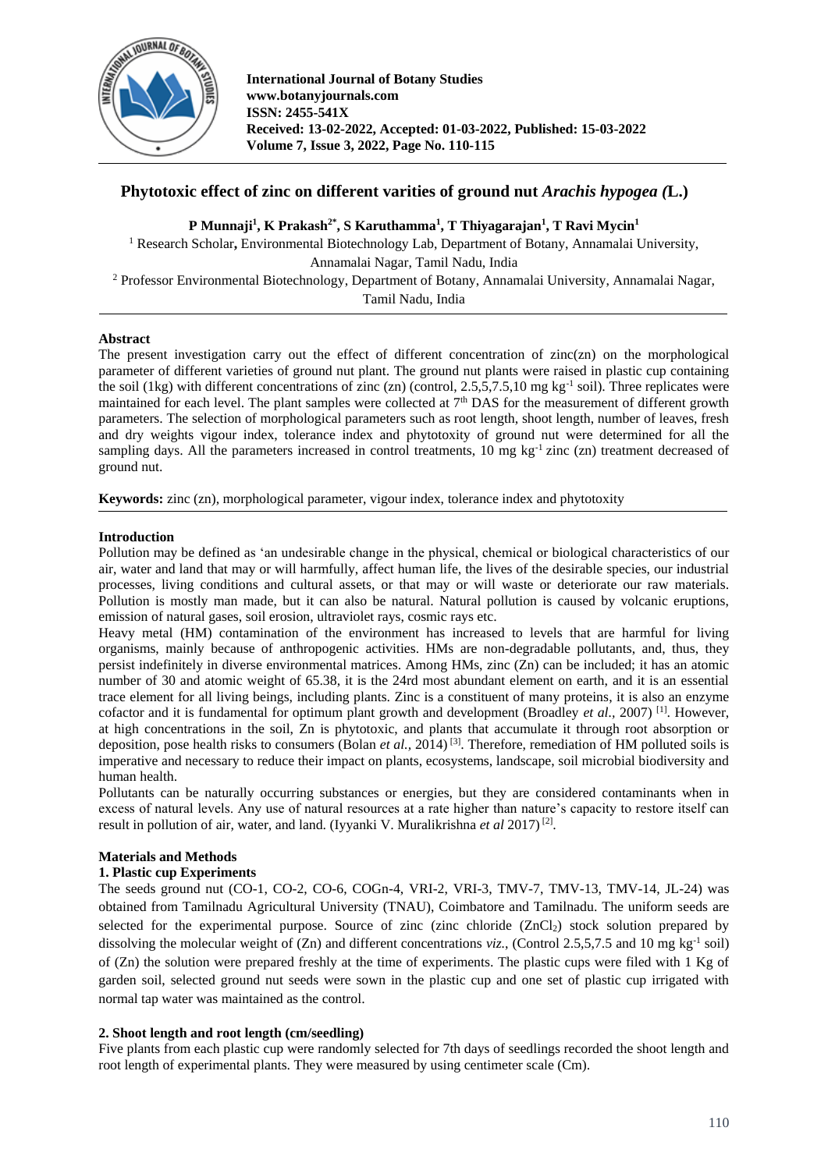

# **Phytotoxic effect of zinc on different varities of ground nut** *Arachis hypogea (***L.)**

**P Munnaji<sup>1</sup> , K Prakash2\* , S Karuthamma<sup>1</sup> , T Thiyagarajan<sup>1</sup> , T Ravi Mycin<sup>1</sup>**

<sup>1</sup> Research Scholar, Environmental Biotechnology Lab, Department of Botany, Annamalai University, Annamalai Nagar, Tamil Nadu, India <sup>2</sup> Professor Environmental Biotechnology, Department of Botany, Annamalai University, Annamalai Nagar,

Tamil Nadu, India

### **Abstract**

The present investigation carry out the effect of different concentration of zinc(zn) on the morphological parameter of different varieties of ground nut plant. The ground nut plants were raised in plastic cup containing the soil (1kg) with different concentrations of zinc (zn) (control, 2.5,5,7.5,10 mg kg<sup>-1</sup> soil). Three replicates were maintained for each level. The plant samples were collected at 7th DAS for the measurement of different growth parameters. The selection of morphological parameters such as root length, shoot length, number of leaves, fresh and dry weights vigour index, tolerance index and phytotoxity of ground nut were determined for all the sampling days. All the parameters increased in control treatments, 10 mg kg<sup>-1</sup> zinc (zn) treatment decreased of ground nut.

**Keywords:** zinc (zn), morphological parameter, vigour index, tolerance index and phytotoxity

### **Introduction**

Pollution may be defined as 'an undesirable change in the physical, chemical or biological characteristics of our air, water and land that may or will harmfully, affect human life, the lives of the desirable species, our industrial processes, living conditions and cultural assets, or that may or will waste or deteriorate our raw materials. Pollution is mostly man made, but it can also be natural. Natural pollution is caused by volcanic eruptions, emission of natural gases, soil erosion, ultraviolet rays, cosmic rays etc.

Heavy metal (HM) contamination of the environment has increased to levels that are harmful for living organisms, mainly because of anthropogenic activities. HMs are non-degradable pollutants, and, thus, they persist indefinitely in diverse environmental matrices. Among HMs, zinc (Zn) can be included; it has an atomic number of 30 and atomic weight of 65.38, it is the 24rd most abundant element on earth, and it is an essential trace element for all living beings, including plants. Zinc is a constituent of many proteins, it is also an enzyme cofactor and it is fundamental for optimum plant growth and development (Broadley et al., 2007)<sup>[1]</sup>. However, at high concentrations in the soil, Zn is phytotoxic, and plants that accumulate it through root absorption or deposition, pose health risks to consumers (Bolan *et al.*, 2014)<sup>[3]</sup>. Therefore, remediation of HM polluted soils is imperative and necessary to reduce their impact on plants, ecosystems, landscape, soil microbial biodiversity and human health.

Pollutants can be naturally occurring substances or energies, but they are considered contaminants when in excess of natural levels. Any use of natural resources at a rate higher than nature's capacity to restore itself can result in pollution of air, water, and land. (Iyyanki V. Muralikrishna et al 2017)<sup>[2]</sup>.

# **Materials and Methods**

# **1. Plastic cup Experiments**

The seeds ground nut (CO-1, CO-2, CO-6, COGn-4, VRI-2, VRI-3, TMV-7, TMV-13, TMV-14, JL-24) was obtained from Tamilnadu Agricultural University (TNAU), Coimbatore and Tamilnadu. The uniform seeds are selected for the experimental purpose. Source of zinc (zinc chloride (ZnCl<sub>2</sub>) stock solution prepared by dissolving the molecular weight of  $(Zn)$  and different concentrations *viz.*, (Control 2.5,5,7.5 and 10 mg kg<sup>-1</sup> soil) of (Zn) the solution were prepared freshly at the time of experiments. The plastic cups were filed with 1 Kg of garden soil, selected ground nut seeds were sown in the plastic cup and one set of plastic cup irrigated with normal tap water was maintained as the control.

# **2. Shoot length and root length (cm/seedling)**

Five plants from each plastic cup were randomly selected for 7th days of seedlings recorded the shoot length and root length of experimental plants. They were measured by using centimeter scale (Cm).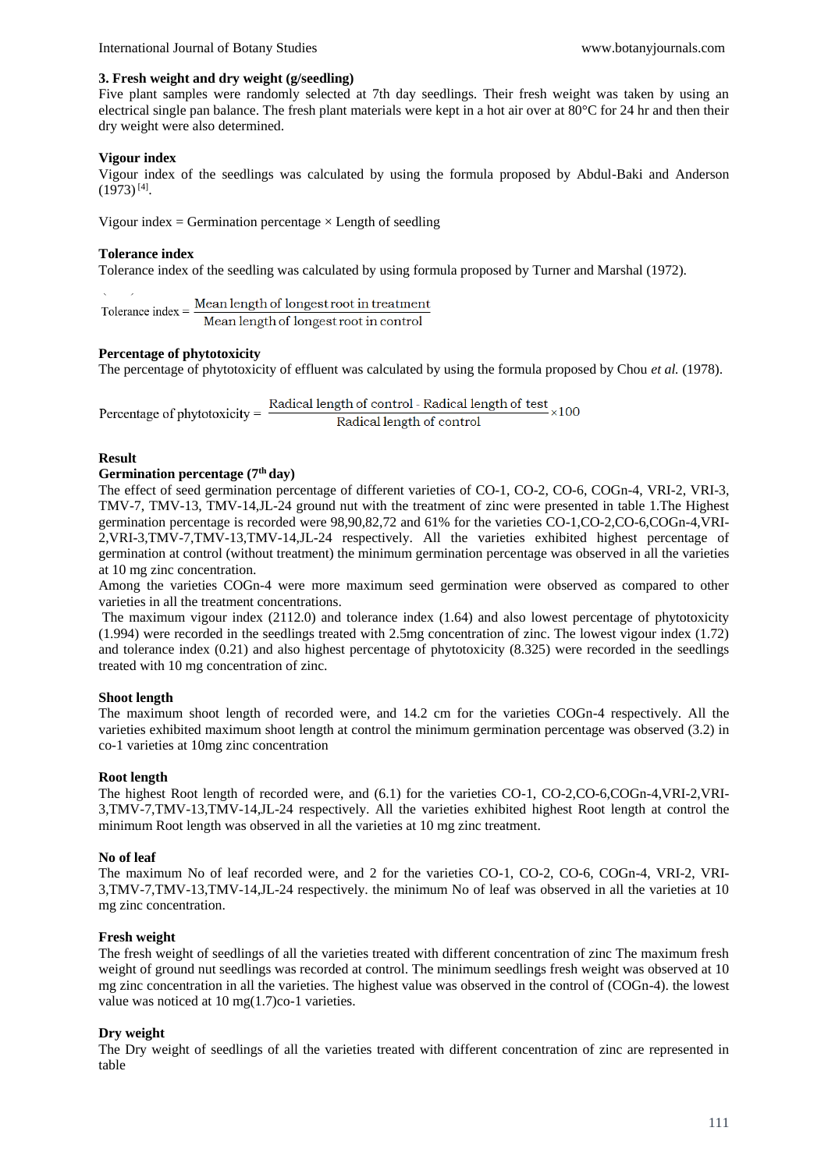### **3. Fresh weight and dry weight (g/seedling)**

Five plant samples were randomly selected at 7th day seedlings. Their fresh weight was taken by using an electrical single pan balance. The fresh plant materials were kept in a hot air over at  $80^{\circ}$ C for 24 hr and then their dry weight were also determined.

### **Vigour index**

Vigour index of the seedlings was calculated by using the formula proposed by Abdul-Baki and Anderson  $(1973)^{[4]}$ .

Vigour index = Germination percentage  $\times$  Length of seedling

### **Tolerance index**

Tolerance index of the seedling was calculated by using formula proposed by Turner and Marshal (1972).

Tolerance index =  $\frac{\text{Mean length of longest root in treatment}}{\text{Mean length of length of the next set in central}}$ Mean length of longest root in control

### **Percentage of phytotoxicity**

The percentage of phytotoxicity of effluent was calculated by using the formula proposed by Chou *et al.* (1978).

Radical length of control - Radical length of test  $_{\times 100}$ Percentage of phytotoxicity  $=$ Radical length of control

#### **Result**

#### **Germination percentage (7th day)**

The effect of seed germination percentage of different varieties of CO-1, CO-2, CO-6, COGn-4, VRI-2, VRI-3, TMV-7, TMV-13, TMV-14,JL-24 ground nut with the treatment of zinc were presented in table 1.The Highest germination percentage is recorded were 98,90,82,72 and 61% for the varieties CO-1,CO-2,CO-6,COGn-4,VRI-2,VRI-3,TMV-7,TMV-13,TMV-14,JL-24 respectively. All the varieties exhibited highest percentage of germination at control (without treatment) the minimum germination percentage was observed in all the varieties at 10 mg zinc concentration.

Among the varieties COGn-4 were more maximum seed germination were observed as compared to other varieties in all the treatment concentrations.

The maximum vigour index (2112.0) and tolerance index (1.64) and also lowest percentage of phytotoxicity (1.994) were recorded in the seedlings treated with 2.5mg concentration of zinc. The lowest vigour index (1.72) and tolerance index (0.21) and also highest percentage of phytotoxicity (8.325) were recorded in the seedlings treated with 10 mg concentration of zinc.

#### **Shoot length**

The maximum shoot length of recorded were, and 14.2 cm for the varieties COGn-4 respectively. All the varieties exhibited maximum shoot length at control the minimum germination percentage was observed (3.2) in co-1 varieties at 10mg zinc concentration

#### **Root length**

The highest Root length of recorded were, and (6.1) for the varieties CO-1, CO-2,CO-6,COGn-4,VRI-2,VRI-3,TMV-7,TMV-13,TMV-14,JL-24 respectively. All the varieties exhibited highest Root length at control the minimum Root length was observed in all the varieties at 10 mg zinc treatment.

#### **No of leaf**

The maximum No of leaf recorded were, and 2 for the varieties CO-1, CO-2, CO-6, COGn-4, VRI-2, VRI-3,TMV-7,TMV-13,TMV-14,JL-24 respectively. the minimum No of leaf was observed in all the varieties at 10 mg zinc concentration.

#### **Fresh weight**

The fresh weight of seedlings of all the varieties treated with different concentration of zinc The maximum fresh weight of ground nut seedlings was recorded at control. The minimum seedlings fresh weight was observed at 10 mg zinc concentration in all the varieties. The highest value was observed in the control of (COGn-4). the lowest value was noticed at 10 mg(1.7)co-1 varieties.

#### **Dry weight**

The Dry weight of seedlings of all the varieties treated with different concentration of zinc are represented in table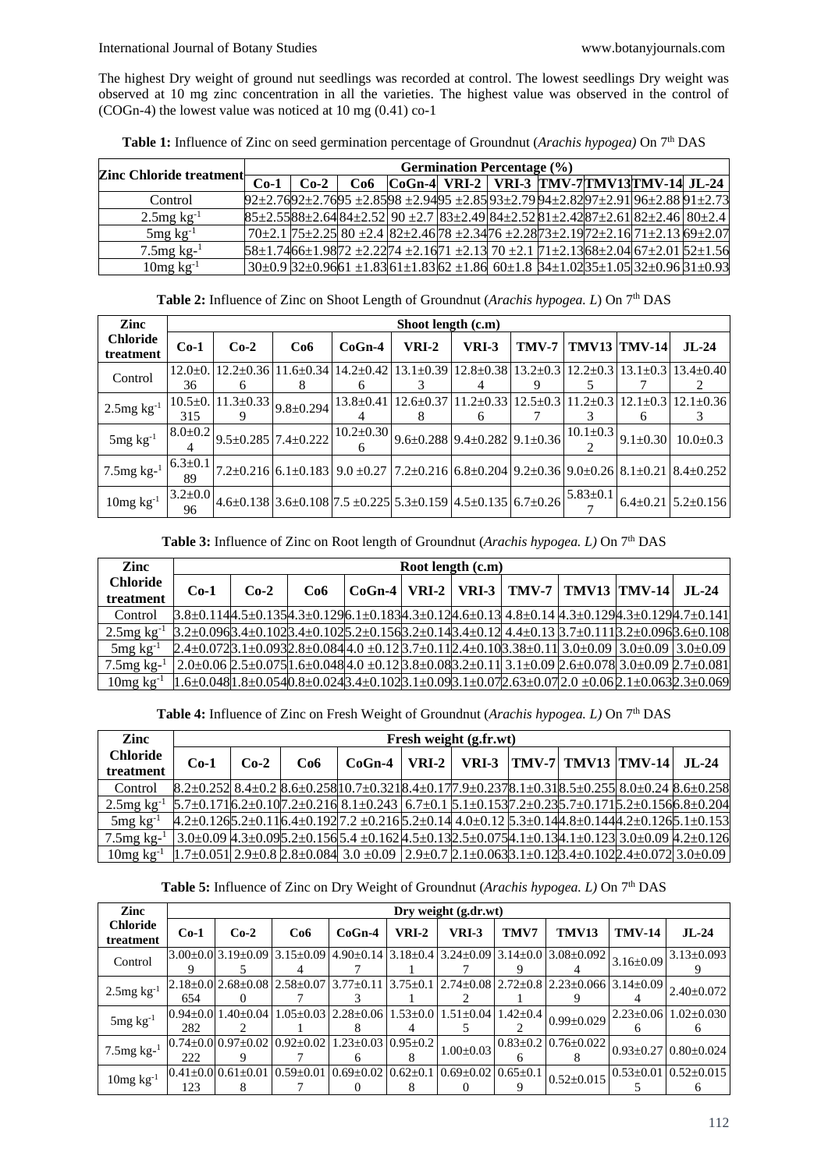The highest Dry weight of ground nut seedlings was recorded at control. The lowest seedlings Dry weight was observed at 10 mg zinc concentration in all the varieties. The highest value was observed in the control of (COGn-4) the lowest value was noticed at 10 mg (0.41) co-1

Table 1: Influence of Zinc on seed germination percentage of Groundnut (Arachis hypogea) On 7<sup>th</sup> DAS

| Zinc Chloride treatment   |        | <b>Germination Percentage</b> (%) |  |  |  |  |  |  |                                                                                                                               |  |  |
|---------------------------|--------|-----------------------------------|--|--|--|--|--|--|-------------------------------------------------------------------------------------------------------------------------------|--|--|
|                           | $Co-1$ | $Co-2$                            |  |  |  |  |  |  | $Co6$ $CoGn-4$ VRI-2   VRI-3   TMV-7 TMV13 TMV-14 JL-24                                                                       |  |  |
| Control                   |        |                                   |  |  |  |  |  |  | $92\pm2.7692\pm2.7695\pm2.8598\pm2.9495\pm2.8593\pm2.7994\pm2.8297\pm2.9196\pm2.8891\pm2.73$                                  |  |  |
| $2.5mg \; \text{kg}^{-1}$ |        |                                   |  |  |  |  |  |  | $85\pm2.5588\pm2.6484\pm2.52$ 90 $\pm2.7$ $83\pm2.49$ $84\pm2.52$ $81\pm2.42$ $87\pm2.61$ $82\pm2.46$ $80\pm2.4$              |  |  |
| $5mg \text{ kg}^{-1}$     |        |                                   |  |  |  |  |  |  | 70±2.1 75±2.25 80 ±2.4 82±2.4678 ±2.3476 ±2.2873±2.1972±2.16 71±2.13 69±2.07                                                  |  |  |
| $7.5$ mg kg- $1$          |        |                                   |  |  |  |  |  |  | $58\pm1.7466\pm1.9872$ $\pm2.2274$ $\pm2.1671$ $\pm2.13$ $70$ $\pm2.1$ $71\pm2.1368$ $\pm2.04$ $67\pm2.01$ $52\pm1.56$        |  |  |
| $10mg \text{ kg}^{-1}$    |        |                                   |  |  |  |  |  |  | $30\pm0.9$ $32\pm0.9$ 661 $\pm1.83$ 61 $\pm1.83$ 62 $\pm1.86$ 60 $\pm1.8$ 34 $\pm1.02$ 35 $\pm1.05$ 32 $\pm0.96$ 31 $\pm0.93$ |  |  |

| Table 2: Influence of Zinc on Shoot Length of Groundnut (Arachis hypogea. L) On 7 <sup>th</sup> DAS |  |
|-----------------------------------------------------------------------------------------------------|--|
|                                                                                                     |  |

| Zinc                         |                      |                                 |                                 |                 | Shoot length (c.m)                                                                                                      |                 |                |                |                |                                |
|------------------------------|----------------------|---------------------------------|---------------------------------|-----------------|-------------------------------------------------------------------------------------------------------------------------|-----------------|----------------|----------------|----------------|--------------------------------|
| <b>Chloride</b><br>treatment | $Co-1$               | $Co-2$                          | Co6                             | $CoGn-4$        | <b>VRI-2</b>                                                                                                            | VRI-3           | TMV-7          |                | TMV13  TMV-14  | $JL-24$                        |
| Control                      | $12.0 \pm 0.$<br>36  | $12.2 \pm 0.36$<br><sub>6</sub> | $11.6 + 0.34$<br>8              | $14.2 \pm 0.42$ | $13.1 + 0.39$                                                                                                           | $12.8 \pm 0.38$ | $13.2 \pm 0.3$ | $12.2 \pm 0.3$ | $13.1 + 0.3$   | $13.4+0.40$                    |
| $2.5$ mg $\text{kg}^{-1}$    | $10.5 \pm 0.$<br>315 | $11.3 \pm 0.33$                 | $9.8 \pm 0.294$                 | $13.8 \pm 0.41$ | $12.6 + 0.37$                                                                                                           | $11.2 \pm 0.33$ | $12.5+0.3$     | $11.2 \pm 0.3$ | $12.1 \pm 0.3$ | $12.1 \pm 0.36$                |
| $5mg \, kg^{-1}$             | $8.0 \pm 0.2$        |                                 | $9.5 \pm 0.285$ 7.4 $\pm 0.222$ | $10.2 \pm 0.30$ | $9.6 \pm 0.288$ 9.4 $\pm 0.282$ 9.1 $\pm 0.36$                                                                          |                 |                | $10.1 \pm 0.3$ | $9.1 \pm 0.30$ | $10.0+0.3$                     |
| $7.5$ mg kg- $1$             | $6.3 \pm 0.1$<br>89  |                                 | $7.2 \pm 0.216$ 6.1 $\pm$ 0.183 |                 | $9.0 \pm 0.27$   $7.2 \pm 0.216$   $6.8 \pm 0.204$   $9.2 \pm 0.36$   $9.0 \pm 0.26$   $8.1 \pm 0.21$   $8.4 \pm 0.252$ |                 |                |                |                |                                |
| $10mg \text{ kg}^{-1}$       | $3.2 \pm 0.0$<br>96  |                                 |                                 |                 | $4.6\pm0.138$ 3.6 $\pm0.108$ 7.5 $\pm0.225$ 5.3 $\pm0.159$ 4.5 $\pm0.135$ 6.7 $\pm0.26$                                 |                 |                | $5.83 \pm 0.1$ |                | $6.4 \pm 0.21$ 5.2 $\pm$ 0.156 |

Table 3: Influence of Zinc on Root length of Groundnut (*Arachis hypogea. L*) On 7<sup>th</sup> DAS

| Zinc                         |                                                                                                                                                                           | Root length (c.m) |     |  |  |  |  |  |                                                   |                             |  |  |
|------------------------------|---------------------------------------------------------------------------------------------------------------------------------------------------------------------------|-------------------|-----|--|--|--|--|--|---------------------------------------------------|-----------------------------|--|--|
| <b>Chloride</b><br>treatment | $Co-1$                                                                                                                                                                    | $Co-2$            | Co6 |  |  |  |  |  | $CoGn-4$   VRI-2   VRI-3   TMV-7   TMV13   TMV-14 | $\overline{\mathbf{H}}$ -24 |  |  |
| Control                      | $3.8\pm0.1144.5\pm0.1354.3\pm0.1296.1\pm0.1834.3\pm0.124.6\pm0.1314.8\pm0.144.3\pm0.1294.3\pm0.1294.7\pm0.141$                                                            |                   |     |  |  |  |  |  |                                                   |                             |  |  |
| $2.5$ mg kg <sup>-1</sup>    | $3.2\pm0.0963.4\pm0.1023.4\pm0.1025.2\pm0.1563.2\pm0.143.4\pm0.124.4\pm0.133.7\pm0.1113.2\pm0.0963.6\pm0.108$                                                             |                   |     |  |  |  |  |  |                                                   |                             |  |  |
| $5mg \text{ kg}^{-1}$        | $2.4\pm0.072$ ] $3.1\pm0.093$ $2.8\pm0.084$ $4.0\pm0.12$ ] $3.7\pm0.11$ ] $2.4\pm0.10$ ] $3.38\pm0.11$ ] $3.0\pm0.09$ ] $3.0\pm0.09$ ] $3.0\pm0.09$ ] $3.0\pm0.09$        |                   |     |  |  |  |  |  |                                                   |                             |  |  |
| $7.5$ mg kg- $1$             | $\left[2.0\pm0.06\,2.5\pm0.075\right]1.6\pm0.048\right]4.0\pm0.12\left[3.8\pm0.08\right]3.2\pm0.11\left[3.1\pm0.09\,2.6\pm0.078\right]3.0\pm0.09\left[2.7\pm0.081\right]$ |                   |     |  |  |  |  |  |                                                   |                             |  |  |
| $10mg \text{ kg}^{-1}$       | $1.6\pm0.048$ $1.8\pm0.054$ $0.8\pm0.024$ $3.4\pm0.102$ $3.1\pm0.09$ $3.1\pm0.07$ $2.63\pm0.07$ $2.05\pm0.06$ $2.1\pm0.063$ $2.3\pm0.069$                                 |                   |     |  |  |  |  |  |                                                   |                             |  |  |

**Table 4:** Influence of Zinc on Fresh Weight of Groundnut (*Arachis hypogea. L)* On 7th DAS

| Zinc                         |        |        |                 |                                                                                                                                                                                                                                       |         | Fresh weight (g.fr.wt) |  |                                        |  |
|------------------------------|--------|--------|-----------------|---------------------------------------------------------------------------------------------------------------------------------------------------------------------------------------------------------------------------------------|---------|------------------------|--|----------------------------------------|--|
| <b>Chloride</b><br>treatment | $Co-1$ | $Co-2$ | Co <sub>6</sub> | $CoGn-4$                                                                                                                                                                                                                              | $VRI-2$ |                        |  | VRI-3   TMV-7   TMV13   TMV-14   JL-24 |  |
| Control                      |        |        |                 | $8.2\pm0.252$ $8.4\pm0.2$ $8.6\pm0.258$ $10.7\pm0.32$ $18.4\pm0.17$ $7.9\pm0.237$ $8.1\pm0.31$ $8.5\pm0.255$ $8.0\pm0.24$ $8.6\pm0.258$                                                                                               |         |                        |  |                                        |  |
| $2.5$ mg kg <sup>-1</sup>    |        |        |                 | $[5.7\pm0.171]$ 6.2 $\pm$ 0.10 $[7.2\pm0.216]$ 8.1 $\pm$ 0.243   6.7 $\pm$ 0.1   5.1 $\pm$ 0.153 $[7.2\pm0.23]$ 5.7 $\pm$ 0.171   5.2 $\pm$ 0.156 $(6.8\pm0.204)$                                                                     |         |                        |  |                                        |  |
| $5mg \text{ kg}^{-1}$        |        |        |                 | $4.2\pm0.12$ $6\pm0.2\pm0.11$ $6.4\pm0.192$ $7.2\pm0.216$ $5.2\pm0.14$ $4.0\pm0.12$ $5.3\pm0.14$ $4.8\pm0.144$ $3.2\pm0.12$ $6$ $5.1\pm0.153$                                                                                         |         |                        |  |                                        |  |
| $7.5$ mg kg- $1$             |        |        |                 | $3.0\pm0.09$ $4.3\pm0.09$ $5.2\pm0.15$ $6$ $5.4\pm0.162$ $4.5\pm0.13$ $2.5\pm0.07$ $5$ $4.1\pm0.13$ $4.1\pm0.12$ $3.0\pm0.09$ $4.2\pm0.12$ $6.12$ $6.12$ $6.12$ $6.12$ $6.12$ $6.12$ $6.12$ $6.12$ $6.12$ $6.12$ $6.12$ $6.12$ $6.12$ |         |                        |  |                                        |  |
| $10mg \text{ kg}^{-1}$       |        |        |                 | $[1.7\pm0.051]$ 2.9 $\pm$ 0.8 $[2.8\pm0.084]$ 3.0 $\pm$ 0.09 $[2.9\pm0.7]$ 2.1 $\pm$ 0.063 $[3.1\pm0.12]$ 3.4 $\pm$ 0.102 $[2.4\pm0.072]$ 3.0 $\pm$ 0.09                                                                              |         |                        |  |                                        |  |

| Table 5: Influence of Zinc on Dry Weight of Groundnut (Arachis hypogea. L) On 7 <sup>th</sup> DAS |  |  |
|---------------------------------------------------------------------------------------------------|--|--|
|---------------------------------------------------------------------------------------------------|--|--|

| Zinc                         |        |                                |                                                                                     |                                  |              | Dry weight (g.dr.wt)                                                                                                     |      |                                                                                                                             |                 |                                    |
|------------------------------|--------|--------------------------------|-------------------------------------------------------------------------------------|----------------------------------|--------------|--------------------------------------------------------------------------------------------------------------------------|------|-----------------------------------------------------------------------------------------------------------------------------|-----------------|------------------------------------|
| <b>Chloride</b><br>treatment | $Co-1$ | $Co-2$                         | Co6                                                                                 | $CoGn-4$                         | <b>VRI-2</b> | VRI-3                                                                                                                    | TMV7 | <b>TMV13</b>                                                                                                                | <b>TMV-14</b>   | $JL-24$                            |
| Control                      |        | $3.00\pm0.013.19\pm0.09$       |                                                                                     |                                  |              |                                                                                                                          |      | $3.15\pm0.09$   4.90 $\pm$ 0.14   3.18 $\pm$ 0.4   3.24 $\pm$ 0.09   3.14 $\pm$ 0.0   3.08 $\pm$ 0.092                      | $3.16 \pm 0.09$ | $3.13 \pm 0.093$                   |
| $2.5$ mg $kg^{-1}$           | 654    |                                |                                                                                     |                                  |              |                                                                                                                          |      | $2.18\pm0.0$ $2.68\pm0.08$ $2.58\pm0.07$ $3.77\pm0.11$ $3.75\pm0.1$ $2.74\pm0.08$ $2.72\pm0.8$ $2.23\pm0.066$ $3.14\pm0.09$ |                 | $2.40 \pm 0.072$                   |
| $5mg \text{ kg}^{-1}$        | 282    |                                |                                                                                     |                                  |              | $[0.94 \pm 0.0]$ 1.40 $\pm$ 0.04   1.05 $\pm$ 0.03   2.28 $\pm$ 0.06   1.53 $\pm$ 0.0   1.51 $\pm$ 0.04   1.42 $\pm$ 0.4 |      | $0.99 \pm 0.029$                                                                                                            | $2.23 \pm 0.06$ | $1.02 + 0.030$                     |
| $7.5$ mg kg- $1$             | 222    |                                | $[0.74 \pm 0.0]$ $0.97 \pm 0.02$ $[0.92 \pm 0.02]$ $1.23 \pm 0.03$ $[0.95 \pm 0.2]$ |                                  |              | $1.00 \pm 0.03$                                                                                                          |      | $0.83 \pm 0.2$ 0.76 $\pm 0.022$                                                                                             |                 | $0.93 \pm 0.27$   $0.80 \pm 0.024$ |
| $10mg \text{ kg}^{-1}$       | 123    | $[0.41 + 0.0]$ $[0.61 + 0.01]$ | $0.59 \pm 0.01$                                                                     | $0.69 \pm 0.02$   $0.62 \pm 0.1$ |              | $0.69 \pm 0.02$ $0.65 \pm 0.1$                                                                                           |      | $0.52 \pm 0.015$                                                                                                            |                 | $0.53 \pm 0.01$ $0.52 \pm 0.015$   |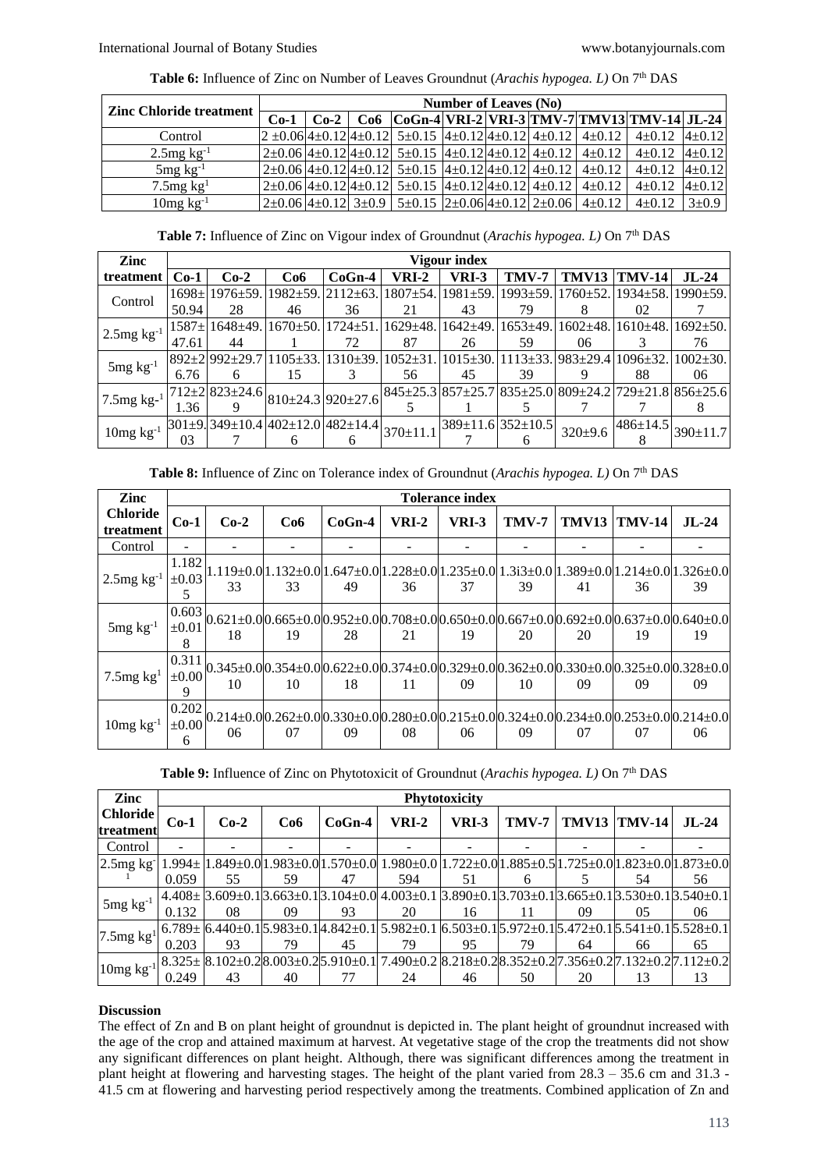| <b>Zinc Chloride treatment</b> | <b>Number of Leaves (No)</b> |  |                                                                                                            |  |  |  |                                                                                                            |                                                                                                       |             |  |  |
|--------------------------------|------------------------------|--|------------------------------------------------------------------------------------------------------------|--|--|--|------------------------------------------------------------------------------------------------------------|-------------------------------------------------------------------------------------------------------|-------------|--|--|
|                                | $Co-1$ $Co-2$                |  |                                                                                                            |  |  |  |                                                                                                            | $Co6$ $ CoGn-4 VRI-2 VRI-3 TMV-7 TMV13 TMV-14 JL-24 $                                                 |             |  |  |
| Control                        |                              |  |                                                                                                            |  |  |  |                                                                                                            | $2\pm0.06 4\pm0.12 4\pm0.12 5\pm0.15 4\pm0.12 4\pm0.12 4\pm0.12 4\pm0.12 4\pm0.12 4\pm0.12 4\pm0.12 $ |             |  |  |
| $2.5$ mg kg <sup>-1</sup>      |                              |  |                                                                                                            |  |  |  | $2\pm0.06$ $4\pm0.12$ $4\pm0.12$ $5\pm0.15$ $4\pm0.12$ $4\pm0.12$ $4\pm0.12$ $4\pm0.12$ $4\pm0.12$         | $4\pm0.12$ $ 4\pm0.12 $                                                                               |             |  |  |
| $5mg \text{ kg}^{-1}$          |                              |  |                                                                                                            |  |  |  | $2\pm0.06$ 4 $\pm0.12$ 4 $\pm0.12$ 5 $\pm0.15$ 4 $\pm0.12$ 4 $\pm0.12$ 4 $\pm0.12$ 4 $\pm0.12$ 4 $\pm0.12$ | $4+0.12$ $ 4+0.12 $                                                                                   |             |  |  |
| $7.5$ mg kg <sup>1</sup>       |                              |  | $2\pm0.06$ 4 $\pm0.12$ 4 $\pm0.12$ 5 $\pm0.15$ 4 $\pm0.12$ 4 $\pm0.12$ 4 $\pm0.12$ 4 $\pm0.12$ 4 $\pm0.12$ |  |  |  |                                                                                                            | $4\pm0.12$ $ 4\pm0.12 $                                                                               |             |  |  |
| $10mg \text{ kg}^{-1}$         |                              |  |                                                                                                            |  |  |  | $2\pm0.06$ 4 $\pm0.12$ 3 $\pm0.9$ 5 $\pm0.15$ 2 $\pm0.06$ 4 $\pm0.12$ 2 $\pm0.06$ 4 $\pm0.12$              | $4+0.12$                                                                                              | $3 \pm 0.9$ |  |  |

**Table 7:** Influence of Zinc on Vigour index of Groundnut (*Arachis hypogea. L*) On 7<sup>th</sup> DAS

| Zinc                      |              |                                  |                                 |                                  |                | Vigour index    |                                                                                                                                                                                                                                                    |                            |                                        |                        |
|---------------------------|--------------|----------------------------------|---------------------------------|----------------------------------|----------------|-----------------|----------------------------------------------------------------------------------------------------------------------------------------------------------------------------------------------------------------------------------------------------|----------------------------|----------------------------------------|------------------------|
| treatment                 | $Co-1$       | $Co-2$                           | Co6                             | $CoGn-4$                         | VRI-2          | VRI-3           | TMV-7                                                                                                                                                                                                                                              | TMV13                      | <b>TMV-14</b>                          | $JL$ -24               |
| Control                   |              | 1698± 1976±59. 1982±59. 2112±63. |                                 |                                  | 1807±54.       | $1981 \pm 59$ . | $1993 \pm 59.$                                                                                                                                                                                                                                     |                            | $1760 \pm 52.1934 \pm 58.1990 \pm 59.$ |                        |
|                           | 50.94        | 28                               | 46                              | 36                               | 21             | 43              | 79                                                                                                                                                                                                                                                 |                            | 02                                     |                        |
|                           | $1587 \pm 1$ | $1648 \pm 49.$                   | $1670 \pm 50$ . 1724 $\pm 51$ . |                                  | 1629±48.       | $1642{\pm}49.$  | $1653 \pm 49.$                                                                                                                                                                                                                                     | $1602 \pm 48.$             |                                        | $1610\pm48.1692\pm50.$ |
| $2.5mg \; \text{kg}^{-1}$ | 47.61        | 44                               |                                 | 72                               | 87             | 26              | 59                                                                                                                                                                                                                                                 | 06                         |                                        | 76                     |
|                           |              | 892+21992+29.7                   | $105 + 33.$                     | $1310+39.$                       | $1052 + 31$    | $1015 + 30$     |                                                                                                                                                                                                                                                    | 1113±33. 983±29.4 1096±32. |                                        | $1002 + 30.$           |
| $5mg \, kg^{-1}$          | 6.76         | 6                                | 15                              |                                  | 56             | 45              | 39                                                                                                                                                                                                                                                 |                            | 88                                     | 06                     |
| $7.5$ mg kg- $^{1}$       |              | $712 + 21823 + 24.6$             |                                 | $810\pm 24.3$ 920 $\pm 27.6$     |                |                 | $ 845\pm 25.3 857\pm 25.7 835\pm 25.0 809\pm 24.2 729\pm 21.8 856\pm 25.6 856\pm 25.6 856\pm 25.6 856\pm 25.6 856\pm 25.6 856\pm 25.6 856\pm 25.6 856\pm 25.6 856\pm 25.6 856\pm 25.6 856\pm 25.6 856\pm 25.6 856\pm 25.6 856\pm 25.6 856\pm 25.6$ |                            |                                        |                        |
|                           | 1.36         |                                  |                                 |                                  |                |                 |                                                                                                                                                                                                                                                    |                            |                                        |                        |
| $10mg \ kg^{-1}$          |              |                                  |                                 | 301±9.349±10.4 402±12.0 482±14.4 | $370 \pm 11.1$ |                 | $389 \pm 11.6$ 352 $\pm 10.5$                                                                                                                                                                                                                      | $320 \pm 9.6$              | $486+14.5$                             | $390 \pm 11.7$         |
|                           | 03           |                                  |                                 |                                  |                |                 |                                                                                                                                                                                                                                                    |                            |                                        |                        |

| Table 8: Influence of Zinc on Tolerance index of Groundnut (Arachis hypogea. L) On 7 <sup>th</sup> DAS |  |  |  |  |  |  |
|--------------------------------------------------------------------------------------------------------|--|--|--|--|--|--|
|--------------------------------------------------------------------------------------------------------|--|--|--|--|--|--|

| Zinc                         |                          |        |     |                                                                                                                                          |              | <b>Tolerance index</b> |              |       |               |                                                                                                                                                                                                                                                                          |
|------------------------------|--------------------------|--------|-----|------------------------------------------------------------------------------------------------------------------------------------------|--------------|------------------------|--------------|-------|---------------|--------------------------------------------------------------------------------------------------------------------------------------------------------------------------------------------------------------------------------------------------------------------------|
| <b>Chloride</b><br>treatment | $Co-1$                   | $Co-2$ | Co6 | $CoGn-4$                                                                                                                                 | <b>VRI-2</b> | VRI-3                  | <b>TMV-7</b> | TMV13 | <b>TMV-14</b> | $JL$ -24                                                                                                                                                                                                                                                                 |
| Control                      |                          |        |     |                                                                                                                                          |              |                        |              |       |               |                                                                                                                                                                                                                                                                          |
| $2.5$ mg kg <sup>-1</sup>    | 1.182<br>$\pm 0.03$<br>5 | 33     | 33  | .132±0.0 1.647±0.0 1.228±0.0 1.235±0.0 1.3i3±0.0 1.389±0.0 1.214±0.0 1.326±0.0 <br>49                                                    | 36           | 37                     | 39           | 41    | 36            | 39                                                                                                                                                                                                                                                                       |
| $5mg \text{ kg}^{-1}$        | 0.603<br>$\pm 0.01$<br>8 | 18     | 19  | 28                                                                                                                                       | 21           | 19                     | 20           | 20    | 19            | $[0.621 \pm 0.0]0.665 \pm 0.0]0.952 \pm 0.0]0.708 \pm 0.0]0.650 \pm 0.0]0.667 \pm 0.0]0.692 \pm 0.0]0.637 \pm 0.0]0.640 \pm 0.0]0.640 \pm 0.0]0.650 \pm 0.0]0.667 \pm 0.0]0.67 \pm 0.0]0.67 \pm 0.0]0.680 \pm 0.0]0.692 \pm 0.0]0.692 \pm 0.0]0.692 \pm 0.0]0.692$<br>19 |
| $7.5$ mg kg <sup>1</sup>     | 0.311<br>$\pm 0.00$<br>9 | 10     | 10  | 18                                                                                                                                       | 11           | 09                     | 10           | 09    | 09            | $0.345\pm0.0$ $0.354\pm0.0$ $0.622\pm0.0$ $0.374\pm0.0$ $0.329\pm0.0$ $0.362\pm0.0$ $0.330\pm0.0$ $0.325\pm0.0$ $0.328\pm0.0$<br>09                                                                                                                                      |
| $10mg \text{ kg}^{-1}$       | 0.202<br>$\pm 0.00$<br>6 | 06     | 07  | $0.214 \pm 0.000.262 \pm 0.000.330 \pm 0.000.280 \pm 0.000.215 \pm 0.000.324 \pm 0.000.234 \pm 0.000.253 \pm 0.000.214 \pm 0.0000$<br>09 | 08           | 06                     | 09           | 07    | 07            | 06                                                                                                                                                                                                                                                                       |

Table 9: Influence of Zinc on Phytotoxicit of Groundnut (*Arachis hypogea. L*) On 7<sup>th</sup> DAS

| Zinc                         | <b>Phytotoxicity</b> |        |     |          |                                                                                                                                                                                                                            |       |       |    |                     |         |
|------------------------------|----------------------|--------|-----|----------|----------------------------------------------------------------------------------------------------------------------------------------------------------------------------------------------------------------------------|-------|-------|----|---------------------|---------|
| <b>Chloride</b><br>treatment | $Co-1$               | $Co-2$ | Co6 | $CoGn-4$ | <b>VRI-2</b>                                                                                                                                                                                                               | VRI-3 | TMV-7 |    | <b>TMV13 TMV-14</b> | $JL-24$ |
| Control                      |                      |        |     |          |                                                                                                                                                                                                                            |       |       |    |                     |         |
| $2.5mg$ kg                   |                      |        |     |          | 0.0−373±0.0{1.823±0.0} 1.983±0.0} 1.570±0.0{1.980±0.0 {1.722±0.0} 1.885±0.5{1.725±0.0} 1.823±0.0{1.873±0.0} 1.                                                                                                             |       |       |    |                     |         |
|                              | 0.059                | 55     | 59  | 47       | 594                                                                                                                                                                                                                        | 51    |       |    | 54                  | 56      |
| $5mg \text{ kg}^{-1}$        |                      |        |     |          | $4.408 \pm [3.609 \pm 0.1]3.663 \pm 0.1]3.104 \pm 0.0]4.003 \pm 0.1]3.890 \pm 0.1]3.703 \pm 0.1]3.665 \pm 0.1]3.530 \pm 0.1]3.540 \pm 0.1$                                                                                 |       |       |    |                     |         |
|                              | 0.132                | 08     | 09  | 93       | 20                                                                                                                                                                                                                         | 16    |       | 09 | 05                  | 06      |
| 7.5 $mg$ kg <sup>1</sup>     |                      |        |     |          | $6.789 \pm \left[6.440 \pm 0.1\right]$ 5.983 $\pm$ 0.1 $\left[4.842 \pm 0.1\right]$ 5.982 $\pm$ 0.1 $\left[6.503 \pm 0.1\right]$ 5.972 $\pm$ 0.1 $\left[5.472 \pm 0.1\right]$ 5.541 $\pm$ 0.1 $\left[5.528 \pm 0.1\right]$ |       |       |    |                     |         |
|                              | 0.203                | 93     | 79  | 45       | 79                                                                                                                                                                                                                         | 95    | 79    | 64 | 66                  | 65      |
| $10mg \text{ kg}^{-1}$       |                      |        |     |          | $8.325 \pm [8.102 \pm 0.2]8.003 \pm 0.2]5.910 \pm 0.1$ 7.490 $\pm 0.2$ $8.218 \pm 0.2$ $8.352 \pm 0.2$ $7.356 \pm 0.2$ $7.132 \pm 0.2$ $7.112 \pm 0.2$                                                                     |       |       |    |                     |         |
|                              | 0.249                | 43     | 40  |          | 24                                                                                                                                                                                                                         | 46    | 50    | 20 |                     | 13      |

# **Discussion**

The effect of Zn and B on plant height of groundnut is depicted in. The plant height of groundnut increased with the age of the crop and attained maximum at harvest. At vegetative stage of the crop the treatments did not show any significant differences on plant height. Although, there was significant differences among the treatment in plant height at flowering and harvesting stages. The height of the plant varied from 28.3 – 35.6 cm and 31.3 - 41.5 cm at flowering and harvesting period respectively among the treatments. Combined application of Zn and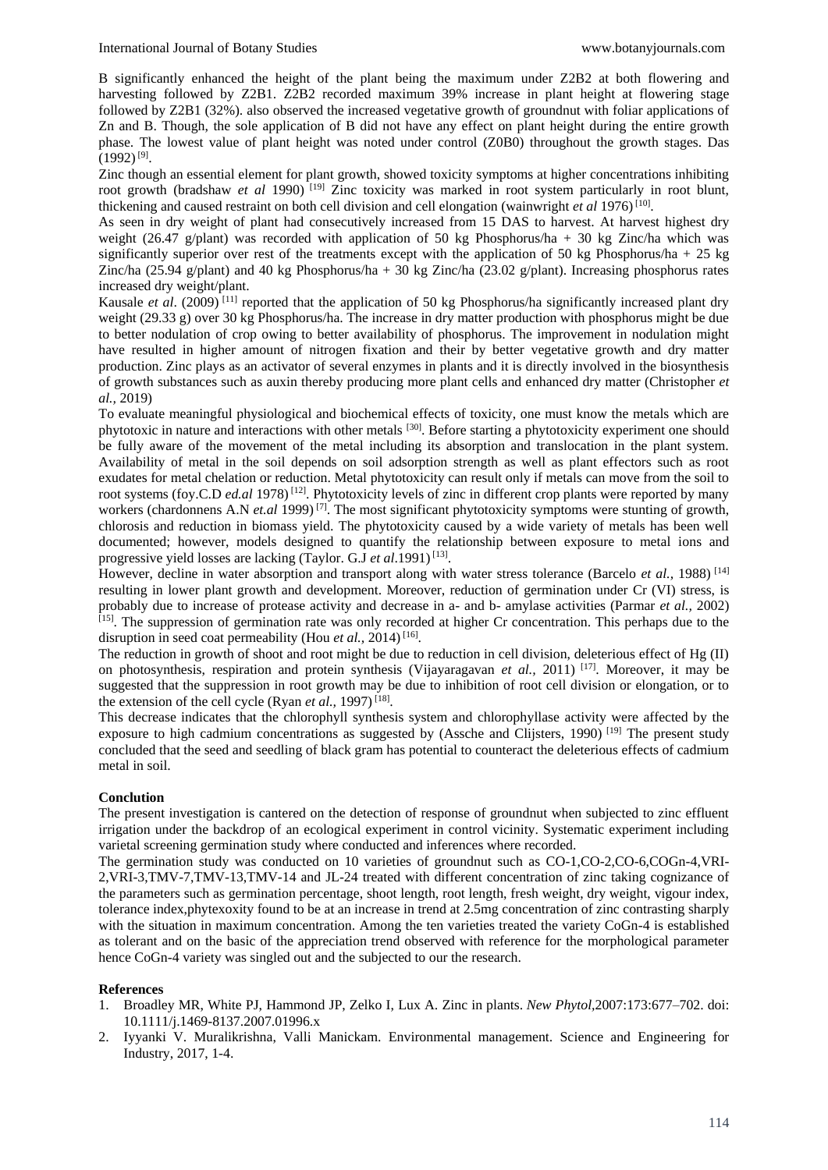B significantly enhanced the height of the plant being the maximum under Z2B2 at both flowering and harvesting followed by Z2B1. Z2B2 recorded maximum 39% increase in plant height at flowering stage followed by Z2B1 (32%). also observed the increased vegetative growth of groundnut with foliar applications of Zn and B. Though, the sole application of B did not have any effect on plant height during the entire growth phase. The lowest value of plant height was noted under control (Z0B0) throughout the growth stages. Das  $(1992)^{[9]}$ .

Zinc though an essential element for plant growth, showed toxicity symptoms at higher concentrations inhibiting root growth (bradshaw *et al* 1990) [19] Zinc toxicity was marked in root system particularly in root blunt, thickening and caused restraint on both cell division and cell elongation (wainwright et al 1976)<sup>[10]</sup>.

As seen in dry weight of plant had consecutively increased from 15 DAS to harvest. At harvest highest dry weight (26.47 g/plant) was recorded with application of 50 kg Phosphorus/ha + 30 kg Zinc/ha which was significantly superior over rest of the treatments except with the application of 50 kg Phosphorus/ha + 25 kg Zinc/ha (25.94 g/plant) and 40 kg Phosphorus/ha + 30 kg Zinc/ha (23.02 g/plant). Increasing phosphorus rates increased dry weight/plant.

Kausale *et al.* (2009)<sup>[11]</sup> reported that the application of 50 kg Phosphorus/ha significantly increased plant dry weight (29.33 g) over 30 kg Phosphorus/ha. The increase in dry matter production with phosphorus might be due to better nodulation of crop owing to better availability of phosphorus. The improvement in nodulation might have resulted in higher amount of nitrogen fixation and their by better vegetative growth and dry matter production. Zinc plays as an activator of several enzymes in plants and it is directly involved in the biosynthesis of growth substances such as auxin thereby producing more plant cells and enhanced dry matter (Christopher *et al.,* 2019)

To evaluate meaningful physiological and biochemical effects of toxicity, one must know the metals which are phytotoxic in nature and interactions with other metals [30]. Before starting a phytotoxicity experiment one should be fully aware of the movement of the metal including its absorption and translocation in the plant system. Availability of metal in the soil depends on soil adsorption strength as well as plant effectors such as root exudates for metal chelation or reduction. Metal phytotoxicity can result only if metals can move from the soil to root systems (foy.C.D *ed.al* 1978)<sup>[12]</sup>. Phytotoxicity levels of zinc in different crop plants were reported by many workers (chardonnens A.N *et.al* 1999)<sup>[7]</sup>. The most significant phytotoxicity symptoms were stunting of growth, chlorosis and reduction in biomass yield. The phytotoxicity caused by a wide variety of metals has been well documented; however, models designed to quantify the relationship between exposure to metal ions and progressive yield losses are lacking (Taylor. G.J et al.1991)<sup>[13]</sup>.

However, decline in water absorption and transport along with water stress tolerance (Barcelo *et al.*, 1988)<sup>[14]</sup> resulting in lower plant growth and development. Moreover, reduction of germination under Cr (VI) stress, is probably due to increase of protease activity and decrease in a- and b- amylase activities (Parmar *et al.,* 2002) <sup>[15]</sup>. The suppression of germination rate was only recorded at higher Cr concentration. This perhaps due to the disruption in seed coat permeability (Hou et al., 2014)<sup>[16]</sup>.

The reduction in growth of shoot and root might be due to reduction in cell division, deleterious effect of Hg (II) on photosynthesis, respiration and protein synthesis (Vijayaragavan *et al.*, 2011)<sup>[17]</sup>. Moreover, it may be suggested that the suppression in root growth may be due to inhibition of root cell division or elongation, or to the extension of the cell cycle (Ryan *et al.*, 1997)<sup>[18]</sup>.

This decrease indicates that the chlorophyll synthesis system and chlorophyllase activity were affected by the exposure to high cadmium concentrations as suggested by (Assche and Clijsters, 1990) <sup>[19]</sup> The present study concluded that the seed and seedling of black gram has potential to counteract the deleterious effects of cadmium metal in soil.

# **Conclution**

The present investigation is cantered on the detection of response of groundnut when subjected to zinc effluent irrigation under the backdrop of an ecological experiment in control vicinity. Systematic experiment including varietal screening germination study where conducted and inferences where recorded.

The germination study was conducted on 10 varieties of groundnut such as CO-1,CO-2,CO-6,COGn-4,VRI-2,VRI-3,TMV-7,TMV-13,TMV-14 and JL-24 treated with different concentration of zinc taking cognizance of the parameters such as germination percentage, shoot length, root length, fresh weight, dry weight, vigour index, tolerance index,phytexoxity found to be at an increase in trend at 2.5mg concentration of zinc contrasting sharply with the situation in maximum concentration. Among the ten varieties treated the variety CoGn-4 is established as tolerant and on the basic of the appreciation trend observed with reference for the morphological parameter hence CoGn-4 variety was singled out and the subjected to our the research.

# **References**

- 1. Broadley MR, White PJ, Hammond JP, Zelko I, Lux A. Zinc in plants. *New Phytol,*2007:173:677–702. doi: 10.1111/j.1469-8137.2007.01996.x
- 2. Iyyanki V. Muralikrishna, Valli Manickam. Environmental management. Science and Engineering for Industry, 2017, 1-4.